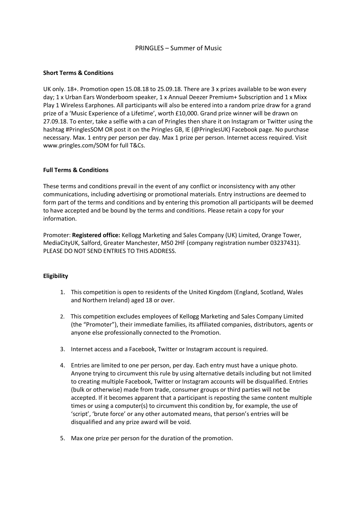## PRINGLES – Summer of Music

### **Short Terms & Conditions**

UK only. 18+. Promotion open 15.08.18 to 25.09.18. There are 3 x prizes available to be won every day; 1 x Urban Ears Wonderboom speaker, 1 x Annual Deezer Premium+ Subscription and 1 x Mixx Play 1 Wireless Earphones. All participants will also be entered into a random prize draw for a grand prize of a 'Music Experience of a Lifetime', worth £10,000. Grand prize winner will be drawn on 27.09.18. To enter, take a selfie with a can of Pringles then share it on Instagram or Twitter using the hashtag #PringlesSOM OR post it on the Pringles GB, IE (@PringlesUK) Facebook page. No purchase necessary. Max. 1 entry per person per day. Max 1 prize per person. Internet access required. Visit www.pringles.com/SOM for full T&Cs.

### **Full Terms & Conditions**

These terms and conditions prevail in the event of any conflict or inconsistency with any other communications, including advertising or promotional materials. Entry instructions are deemed to form part of the terms and conditions and by entering this promotion all participants will be deemed to have accepted and be bound by the terms and conditions. Please retain a copy for your information.

Promoter: **Registered office:** Kellogg Marketing and Sales Company (UK) Limited, Orange Tower, MediaCityUK, Salford, Greater Manchester, M50 2HF (company registration number 03237431). PLEASE DO NOT SEND ENTRIES TO THIS ADDRESS.

### **Eligibility**

- 1. This competition is open to residents of the United Kingdom (England, Scotland, Wales and Northern Ireland) aged 18 or over.
- 2. This competition excludes employees of Kellogg Marketing and Sales Company Limited (the "Promoter"), their immediate families, its affiliated companies, distributors, agents or anyone else professionally connected to the Promotion.
- 3. Internet access and a Facebook, Twitter or Instagram account is required.
- 4. Entries are limited to one per person, per day. Each entry must have a unique photo. Anyone trying to circumvent this rule by using alternative details including but not limited to creating multiple Facebook, Twitter or Instagram accounts will be disqualified. Entries (bulk or otherwise) made from trade, consumer groups or third parties will not be accepted. If it becomes apparent that a participant is reposting the same content multiple times or using a computer(s) to circumvent this condition by, for example, the use of 'script', 'brute force' or any other automated means, that person's entries will be disqualified and any prize award will be void.
- 5. Max one prize per person for the duration of the promotion.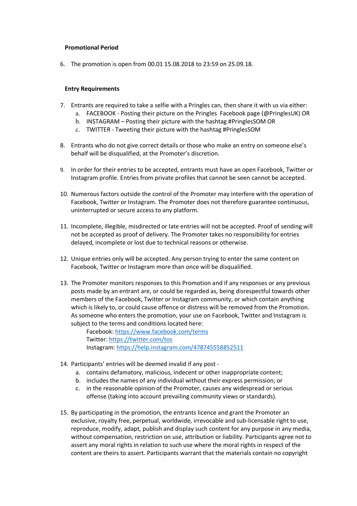### **Promotional Period**

6. The promotion is open from 00.01 15.08.2018 to 23:59 on 25.09.18.

### **Entry Requirements**

- 7. Entrants are required to take a selfie with a Pringles can, then share it with us via either:
	- a. FACEBOOK Posting their picture on the Pringles Facebook page (@PringlesUK) OR
	- b. INSTAGRAM Posting their picture with the hashtag #PringlesSOM OR
	- c. TWITTER Tweeting their picture with the hashtag #PringlesSOM
- 8. Entrants who do not give correct details or those who make an entry on someone else's behalf will be disqualified, at the Promoter's discretion.
- 9. In order for their entries to be accepted, entrants must have an open Facebook, Twitter or Instagram profile. Entries from private profiles that cannot be seen cannot be accepted.
- 10. Numerous factors outside the control of the Promoter may interfere with the operation of Facebook, Twitter or Instagram. The Promoter does not therefore guarantee continuous, uninterrupted or secure access to any platform.
- 11. Incomplete, illegible, misdirected or late entries will not be accepted. Proof of sending will not be accepted as proof of delivery. The Promoter takes no responsibility for entries delayed, incomplete or lost due to technical reasons or otherwise.
- 12. Unique entries only will be accepted. Any person trying to enter the same content on Facebook, Twitter or Instagram more than once will be disqualified.
- 13. The Promoter monitors responses to this Promotion and if any responses or any previous posts made by an entrant are, or could be regarded as, being disrespectful towards other members of the Facebook, Twitter or Instagram community, or which contain anything which is likely to, or could cause offence or distress will be removed from the Promotion. As someone who enters the promotion, your use on Facebook, Twitter and Instagram is subject to the terms and conditions located here:

Facebook: https://www.facebook.com/terms Twitter: https://twitter.com/tos Instagram: https://help.instagram.com/478745558852511

- 14. Participants' entries will be deemed invalid if any post
	- a. contains defamatory, malicious, indecent or other inappropriate content;
	- b. includes the names of any individual without their express permission; or
	- c. in the reasonable opinion of the Promoter, causes any widespread or serious offense (taking into account prevailing community views or standards).
- 15. By participating in the promotion, the entrants licence and grant the Promoter an exclusive, royalty free, perpetual, worldwide, irrevocable and sub-licensable right to use, reproduce, modify, adapt, publish and display such content for any purpose in any media, without compensation, restriction on use, attribution or liability. Participants agree not to assert any moral rights in relation to such use where the moral rights in respect of the content are theirs to assert. Participants warrant that the materials contain no copyright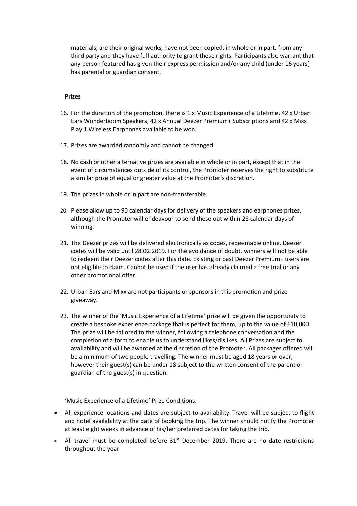materials, are their original works, have not been copied, in whole or in part, from any third party and they have full authority to grant these rights. Participants also warrant that any person featured has given their express permission and/or any child (under 16 years) has parental or guardian consent.

#### **Prizes**

- 16. For the duration of the promotion, there is 1 x Music Experience of a Lifetime, 42 x Urban Ears Wonderboom Speakers, 42 x Annual Deezer Premium+ Subscriptions and 42 x Mixx Play 1 Wireless Earphones available to be won.
- 17. Prizes are awarded randomly and cannot be changed.
- 18. No cash or other alternative prizes are available in whole or in part, except that in the event of circumstances outside of its control, the Promoter reserves the right to substitute a similar prize of equal or greater value at the Promoter's discretion.
- 19. The prizes in whole or in part are non-transferable.
- 20. Please allow up to 90 calendar days for delivery of the speakers and earphones prizes, although the Promoter will endeavour to send these out within 28 calendar days of winning.
- 21. The Deezer prizes will be delivered electronically as codes, redeemable online. Deezer codes will be valid until 28.02.2019. For the avoidance of doubt, winners will not be able to redeem their Deezer codes after this date. Existing or past Deezer Premium+ users are not eligible to claim. Cannot be used if the user has already claimed a free trial or any other promotional offer.
- 22. Urban Ears and Mixx are not participants or sponsors in this promotion and prize giveaway.
- 23. The winner of the 'Music Experience of a Lifetime' prize will be given the opportunity to create a bespoke experience package that is perfect for them, up to the value of £10,000. The prize will be tailored to the winner, following a telephone conversation and the completion of a form to enable us to understand likes/dislikes. All Prizes are subject to availability and will be awarded at the discretion of the Promoter. All packages offered will be a minimum of two people travelling. The winner must be aged 18 years or over, however their guest(s) can be under 18 subject to the written consent of the parent or guardian of the guest(s) in question.

'Music Experience of a Lifetime' Prize Conditions:

- All experience locations and dates are subject to availability. Travel will be subject to flight and hotel availability at the date of booking the trip. The winner should notify the Promoter at least eight weeks in advance of his/her preferred dates for taking the trip.
- All travel must be completed before  $31<sup>st</sup>$  December 2019. There are no date restrictions throughout the year.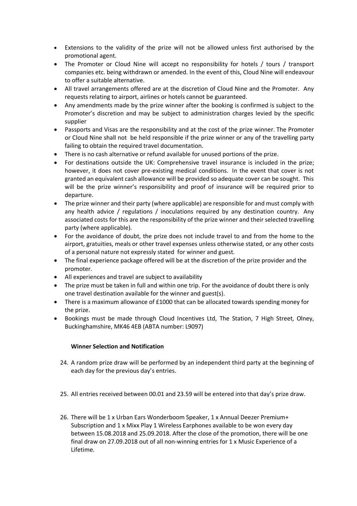- Extensions to the validity of the prize will not be allowed unless first authorised by the promotional agent.
- The Promoter or Cloud Nine will accept no responsibility for hotels / tours / transport companies etc. being withdrawn or amended. In the event of this, Cloud Nine will endeavour to offer a suitable alternative.
- All travel arrangements offered are at the discretion of Cloud Nine and the Promoter. Any requests relating to airport, airlines or hotels cannot be guaranteed.
- Any amendments made by the prize winner after the booking is confirmed is subject to the Promoter's discretion and may be subject to administration charges levied by the specific supplier
- Passports and Visas are the responsibility and at the cost of the prize winner. The Promoter or Cloud Nine shall not be held responsible if the prize winner or any of the travelling party failing to obtain the required travel documentation.
- There is no cash alternative or refund available for unused portions of the prize.
- For destinations outside the UK: Comprehensive travel insurance is included in the prize; however, it does not cover pre-existing medical conditions. In the event that cover is not granted an equivalent cash allowance will be provided so adequate cover can be sought. This will be the prize winner's responsibility and proof of insurance will be required prior to departure.
- The prize winner and their party (where applicable) are responsible for and must comply with any health advice / regulations / inoculations required by any destination country. Any associated costs for this are the responsibility of the prize winner and their selected travelling party (where applicable).
- For the avoidance of doubt, the prize does not include travel to and from the home to the airport, gratuities, meals or other travel expenses unless otherwise stated, or any other costs of a personal nature not expressly stated for winner and guest.
- The final experience package offered will be at the discretion of the prize provider and the promoter.
- All experiences and travel are subject to availability
- The prize must be taken in full and within one trip. For the avoidance of doubt there is only one travel destination available for the winner and guest(s).
- There is a maximum allowance of £1000 that can be allocated towards spending money for the prize.
- Bookings must be made through Cloud Incentives Ltd, The Station, 7 High Street, Olney, Buckinghamshire, MK46 4EB (ABTA number: L9097)

# **Winner Selection and Notification**

- 24. A random prize draw will be performed by an independent third party at the beginning of each day for the previous day's entries.
- 25. All entries received between 00.01 and 23.59 will be entered into that day's prize draw.
- 26. There will be 1 x Urban Ears Wonderboom Speaker, 1 x Annual Deezer Premium+ Subscription and 1 x Mixx Play 1 Wireless Earphones available to be won every day between 15.08.2018 and 25.09.2018. After the close of the promotion, there will be one final draw on 27.09.2018 out of all non-winning entries for 1 x Music Experience of a Lifetime.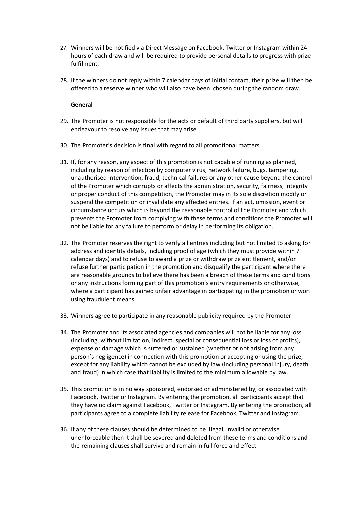- 27. Winners will be notified via Direct Message on Facebook, Twitter or Instagram within 24 hours of each draw and will be required to provide personal details to progress with prize fulfilment.
- 28. If the winners do not reply within 7 calendar days of initial contact, their prize will then be offered to a reserve winner who will also have been chosen during the random draw.

#### **General**

- 29. The Promoter is not responsible for the acts or default of third party suppliers, but will endeavour to resolve any issues that may arise.
- 30. The Promoter's decision is final with regard to all promotional matters.
- 31. If, for any reason, any aspect of this promotion is not capable of running as planned, including by reason of infection by computer virus, network failure, bugs, tampering, unauthorised intervention, fraud, technical failures or any other cause beyond the control of the Promoter which corrupts or affects the administration, security, fairness, integrity or proper conduct of this competition, the Promoter may in its sole discretion modify or suspend the competition or invalidate any affected entries. If an act, omission, event or circumstance occurs which is beyond the reasonable control of the Promoter and which prevents the Promoter from complying with these terms and conditions the Promoter will not be liable for any failure to perform or delay in performing its obligation.
- 32. The Promoter reserves the right to verify all entries including but not limited to asking for address and identity details, including proof of age (which they must provide within 7 calendar days) and to refuse to award a prize or withdraw prize entitlement, and/or refuse further participation in the promotion and disqualify the participant where there are reasonable grounds to believe there has been a breach of these terms and conditions or any instructions forming part of this promotion's entry requirements or otherwise, where a participant has gained unfair advantage in participating in the promotion or won using fraudulent means.
- 33. Winners agree to participate in any reasonable publicity required by the Promoter.
- 34. The Promoter and its associated agencies and companies will not be liable for any loss (including, without limitation, indirect, special or consequential loss or loss of profits), expense or damage which is suffered or sustained (whether or not arising from any person's negligence) in connection with this promotion or accepting or using the prize, except for any liability which cannot be excluded by law (including personal injury, death and fraud) in which case that liability is limited to the minimum allowable by law.
- 35. This promotion is in no way sponsored, endorsed or administered by, or associated with Facebook, Twitter or Instagram. By entering the promotion, all participants accept that they have no claim against Facebook, Twitter or Instagram. By entering the promotion, all participants agree to a complete liability release for Facebook, Twitter and Instagram.
- 36. If any of these clauses should be determined to be illegal, invalid or otherwise unenforceable then it shall be severed and deleted from these terms and conditions and the remaining clauses shall survive and remain in full force and effect.